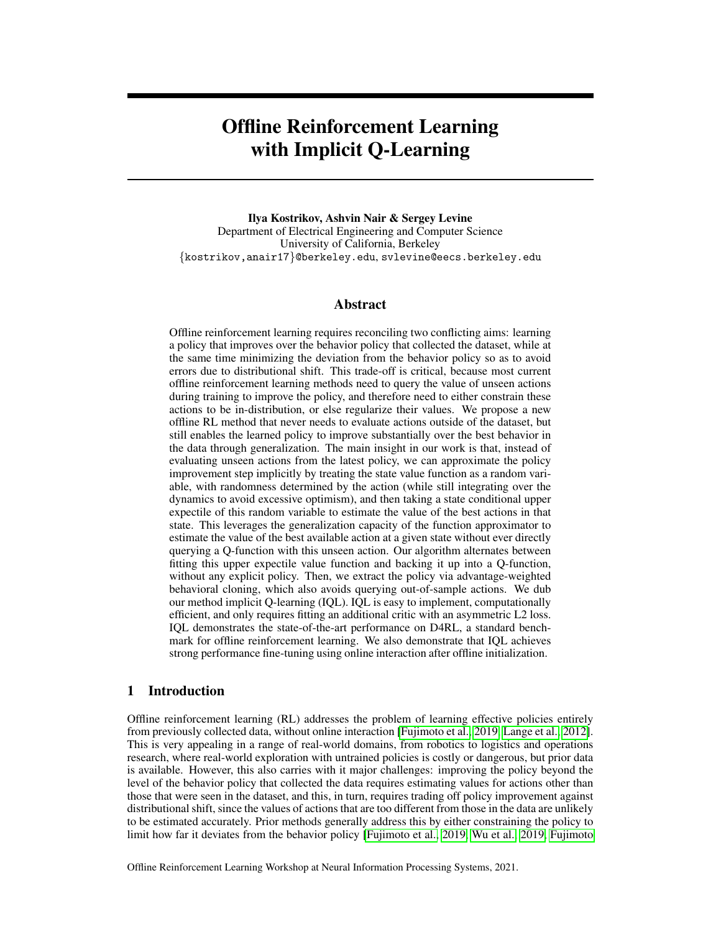# Offline Reinforcement Learning with Implicit Q-Learning

Ilya Kostrikov, Ashvin Nair & Sergey Levine Department of Electrical Engineering and Computer Science University of California, Berkeley {kostrikov,anair17}@berkeley.edu, svlevine@eecs.berkeley.edu

## Abstract

Offline reinforcement learning requires reconciling two conflicting aims: learning a policy that improves over the behavior policy that collected the dataset, while at the same time minimizing the deviation from the behavior policy so as to avoid errors due to distributional shift. This trade-off is critical, because most current offline reinforcement learning methods need to query the value of unseen actions during training to improve the policy, and therefore need to either constrain these actions to be in-distribution, or else regularize their values. We propose a new offline RL method that never needs to evaluate actions outside of the dataset, but still enables the learned policy to improve substantially over the best behavior in the data through generalization. The main insight in our work is that, instead of evaluating unseen actions from the latest policy, we can approximate the policy improvement step implicitly by treating the state value function as a random variable, with randomness determined by the action (while still integrating over the dynamics to avoid excessive optimism), and then taking a state conditional upper expectile of this random variable to estimate the value of the best actions in that state. This leverages the generalization capacity of the function approximator to estimate the value of the best available action at a given state without ever directly querying a Q-function with this unseen action. Our algorithm alternates between fitting this upper expectile value function and backing it up into a Q-function, without any explicit policy. Then, we extract the policy via advantage-weighted behavioral cloning, which also avoids querying out-of-sample actions. We dub our method implicit Q-learning (IQL). IQL is easy to implement, computationally efficient, and only requires fitting an additional critic with an asymmetric L2 loss. IQL demonstrates the state-of-the-art performance on D4RL, a standard benchmark for offline reinforcement learning. We also demonstrate that IQL achieves strong performance fine-tuning using online interaction after offline initialization.

### 1 Introduction

Offline reinforcement learning (RL) addresses the problem of learning effective policies entirely from previously collected data, without online interaction [\[Fujimoto et al., 2019,](#page-9-0) [Lange et al., 2012\]](#page-9-1). This is very appealing in a range of real-world domains, from robotics to logistics and operations research, where real-world exploration with untrained policies is costly or dangerous, but prior data is available. However, this also carries with it major challenges: improving the policy beyond the level of the behavior policy that collected the data requires estimating values for actions other than those that were seen in the dataset, and this, in turn, requires trading off policy improvement against distributional shift, since the values of actions that are too different from those in the data are unlikely to be estimated accurately. Prior methods generally address this by either constraining the policy to limit how far it deviates from the behavior policy [\[Fujimoto et al., 2019,](#page-9-0) [Wu et al., 2019,](#page-10-0) [Fujimoto](#page-9-2)

Offline Reinforcement Learning Workshop at Neural Information Processing Systems, 2021.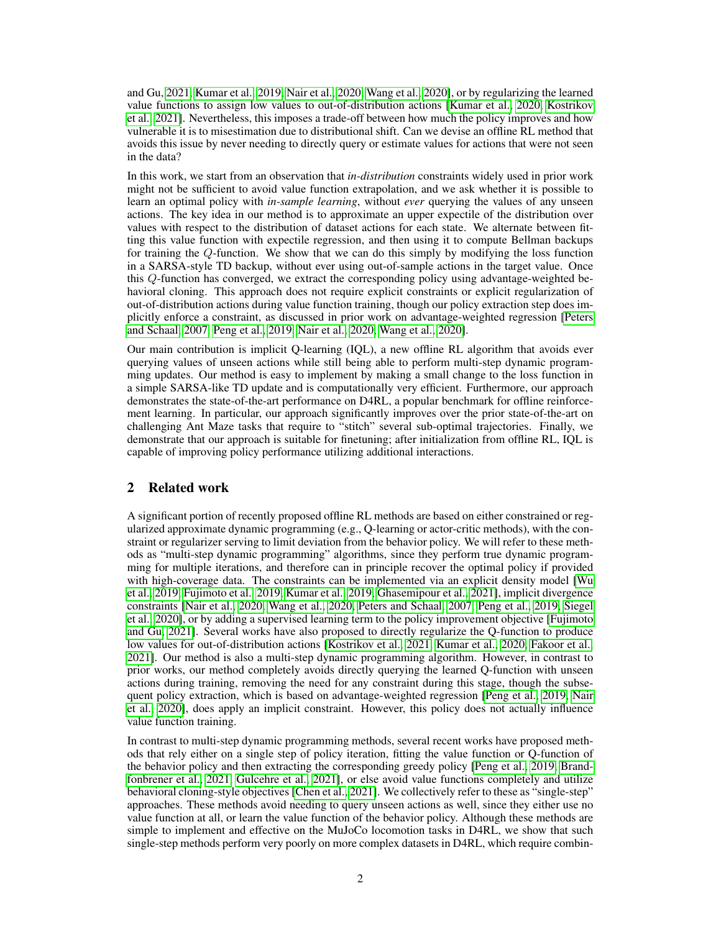and Gu, [2021,](#page-9-2) [Kumar et al., 2019,](#page-9-3) [Nair et al., 2020,](#page-9-4) [Wang et al., 2020\]](#page-10-1), or by regularizing the learned value functions to assign low values to out-of-distribution actions [\[Kumar et al., 2020,](#page-9-5) [Kostrikov](#page-9-6) [et al., 2021\]](#page-9-6). Nevertheless, this imposes a trade-off between how much the policy improves and how vulnerable it is to misestimation due to distributional shift. Can we devise an offline RL method that avoids this issue by never needing to directly query or estimate values for actions that were not seen in the data?

In this work, we start from an observation that *in-distribution* constraints widely used in prior work might not be sufficient to avoid value function extrapolation, and we ask whether it is possible to learn an optimal policy with *in-sample learning*, without *ever* querying the values of any unseen actions. The key idea in our method is to approximate an upper expectile of the distribution over values with respect to the distribution of dataset actions for each state. We alternate between fitting this value function with expectile regression, and then using it to compute Bellman backups for training the Q-function. We show that we can do this simply by modifying the loss function in a SARSA-style TD backup, without ever using out-of-sample actions in the target value. Once this Q-function has converged, we extract the corresponding policy using advantage-weighted behavioral cloning. This approach does not require explicit constraints or explicit regularization of out-of-distribution actions during value function training, though our policy extraction step does implicitly enforce a constraint, as discussed in prior work on advantage-weighted regression [\[Peters](#page-10-2) [and Schaal, 2007,](#page-10-2) [Peng et al., 2019,](#page-10-3) [Nair et al., 2020,](#page-9-4) [Wang et al., 2020\]](#page-10-1).

Our main contribution is implicit Q-learning (IQL), a new offline RL algorithm that avoids ever querying values of unseen actions while still being able to perform multi-step dynamic programming updates. Our method is easy to implement by making a small change to the loss function in a simple SARSA-like TD update and is computationally very efficient. Furthermore, our approach demonstrates the state-of-the-art performance on D4RL, a popular benchmark for offline reinforcement learning. In particular, our approach significantly improves over the prior state-of-the-art on challenging Ant Maze tasks that require to "stitch" several sub-optimal trajectories. Finally, we demonstrate that our approach is suitable for finetuning; after initialization from offline RL, IQL is capable of improving policy performance utilizing additional interactions.

# 2 Related work

A significant portion of recently proposed offline RL methods are based on either constrained or regularized approximate dynamic programming (e.g., Q-learning or actor-critic methods), with the constraint or regularizer serving to limit deviation from the behavior policy. We will refer to these methods as "multi-step dynamic programming" algorithms, since they perform true dynamic programming for multiple iterations, and therefore can in principle recover the optimal policy if provided with high-coverage data. The constraints can be implemented via an explicit density model [\[Wu](#page-10-0) [et al., 2019,](#page-10-0) [Fujimoto et al., 2019,](#page-9-0) [Kumar et al., 2019,](#page-9-3) [Ghasemipour et al., 2021\]](#page-9-7), implicit divergence constraints [\[Nair et al., 2020,](#page-9-4) [Wang et al., 2020,](#page-10-1) [Peters and Schaal, 2007,](#page-10-2) [Peng et al., 2019,](#page-10-3) [Siegel](#page-10-4) [et al., 2020\]](#page-10-4), or by adding a supervised learning term to the policy improvement objective [\[Fujimoto](#page-9-2) [and Gu, 2021\]](#page-9-2). Several works have also proposed to directly regularize the Q-function to produce low values for out-of-distribution actions [\[Kostrikov et al., 2021,](#page-9-6) [Kumar et al., 2020,](#page-9-5) [Fakoor et al.,](#page-9-8) [2021\]](#page-9-8). Our method is also a multi-step dynamic programming algorithm. However, in contrast to prior works, our method completely avoids directly querying the learned Q-function with unseen actions during training, removing the need for any constraint during this stage, though the subsequent policy extraction, which is based on advantage-weighted regression [\[Peng et al., 2019,](#page-10-3) [Nair](#page-9-4) [et al., 2020\]](#page-9-4), does apply an implicit constraint. However, this policy does not actually influence value function training.

In contrast to multi-step dynamic programming methods, several recent works have proposed methods that rely either on a single step of policy iteration, fitting the value function or Q-function of the behavior policy and then extracting the corresponding greedy policy [\[Peng et al., 2019,](#page-10-3) [Brand](#page-8-0)[fonbrener et al., 2021,](#page-8-0) [Gulcehre et al., 2021\]](#page-9-9), or else avoid value functions completely and utilize behavioral cloning-style objectives [\[Chen et al., 2021\]](#page-9-10). We collectively refer to these as "single-step" approaches. These methods avoid needing to query unseen actions as well, since they either use no value function at all, or learn the value function of the behavior policy. Although these methods are simple to implement and effective on the MuJoCo locomotion tasks in D4RL, we show that such single-step methods perform very poorly on more complex datasets in D4RL, which require combin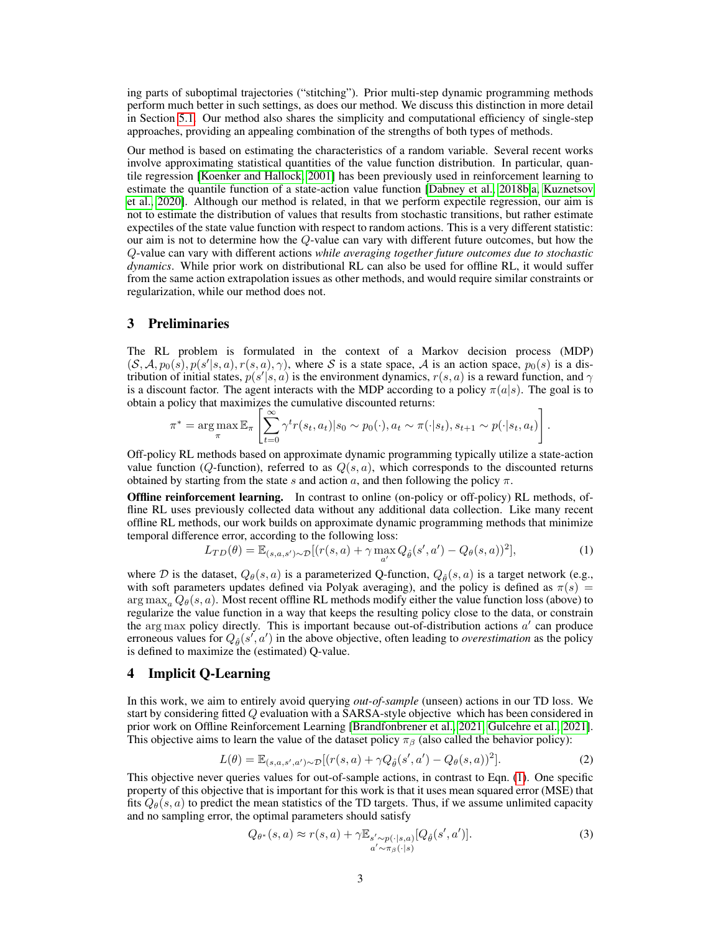ing parts of suboptimal trajectories ("stitching"). Prior multi-step dynamic programming methods perform much better in such settings, as does our method. We discuss this distinction in more detail in Section [5.1.](#page-6-0) Our method also shares the simplicity and computational efficiency of single-step approaches, providing an appealing combination of the strengths of both types of methods.

Our method is based on estimating the characteristics of a random variable. Several recent works involve approximating statistical quantities of the value function distribution. In particular, quantile regression [\[Koenker and Hallock, 2001\]](#page-9-11) has been previously used in reinforcement learning to estimate the quantile function of a state-action value function [\[Dabney et al., 2018b,](#page-9-12)[a,](#page-9-13) [Kuznetsov](#page-9-14) [et al., 2020\]](#page-9-14). Although our method is related, in that we perform expectile regression, our aim is not to estimate the distribution of values that results from stochastic transitions, but rather estimate expectiles of the state value function with respect to random actions. This is a very different statistic: our aim is not to determine how the Q-value can vary with different future outcomes, but how the Q-value can vary with different actions *while averaging together future outcomes due to stochastic dynamics*. While prior work on distributional RL can also be used for offline RL, it would suffer from the same action extrapolation issues as other methods, and would require similar constraints or regularization, while our method does not.

# 3 Preliminaries

The RL problem is formulated in the context of a Markov decision process (MDP)  $(S, \mathcal{A}, p_0(s), p(s'|s, a), r(s, a), \gamma)$ , where S is a state space, A is an action space,  $p_0(s)$  is a distribution of initial states,  $p(s'|s, a)$  is the environment dynamics,  $r(s, a)$  is a reward function, and  $\gamma$ is a discount factor. The agent interacts with the MDP according to a policy  $\pi(a|s)$ . The goal is to obtain a policy that maximizes the cumulative discounted returns:

$$
\pi^* = \arg \max_{\pi} \mathbb{E}_{\pi} \left[ \sum_{t=0}^{\infty} \gamma^t r(s_t, a_t) | s_0 \sim p_0(\cdot), a_t \sim \pi(\cdot | s_t), s_{t+1} \sim p(\cdot | s_t, a_t) \right].
$$

Off-policy RL methods based on approximate dynamic programming typically utilize a state-action value function (Q-function), referred to as  $Q(s, a)$ , which corresponds to the discounted returns obtained by starting from the state s and action a, and then following the policy  $\pi$ .

Offline reinforcement learning. In contrast to online (on-policy or off-policy) RL methods, offline RL uses previously collected data without any additional data collection. Like many recent offline RL methods, our work builds on approximate dynamic programming methods that minimize temporal difference error, according to the following loss:

<span id="page-2-0"></span>
$$
L_{TD}(\theta) = \mathbb{E}_{(s,a,s') \sim \mathcal{D}}[(r(s,a) + \gamma \max_{a'} Q_{\hat{\theta}}(s',a') - Q_{\theta}(s,a))^2],
$$
 (1)

where D is the dataset,  $Q_{\theta}(s, a)$  is a parameterized Q-function,  $Q_{\hat{\theta}}(s, a)$  is a target network (e.g., with soft parameters updates defined via Polyak averaging), and the policy is defined as  $\pi(s)$  =  $\arg \max_{a} Q_{\theta}(s, a)$ . Most recent offline RL methods modify either the value function loss (above) to regularize the value function in a way that keeps the resulting policy close to the data, or constrain the arg max policy directly. This is important because out-of-distribution actions  $a'$  can produce erroneous values for  $Q_{\hat{\theta}}(s', a')$  in the above objective, often leading to *overestimation* as the policy is defined to maximize the (estimated) Q-value.

#### 4 Implicit Q-Learning

In this work, we aim to entirely avoid querying *out-of-sample* (unseen) actions in our TD loss. We start by considering fitted Q evaluation with a SARSA-style objective which has been considered in prior work on Offline Reinforcement Learning [\[Brandfonbrener et al., 2021,](#page-8-0) [Gulcehre et al., 2021\]](#page-9-9). This objective aims to learn the value of the dataset policy  $\pi_\beta$  (also called the behavior policy):

<span id="page-2-1"></span>
$$
L(\theta) = \mathbb{E}_{(s,a,s',a') \sim \mathcal{D}}[(r(s,a) + \gamma Q_{\hat{\theta}}(s',a') - Q_{\theta}(s,a))^2].
$$
\n(2)

This objective never queries values for out-of-sample actions, in contrast to Eqn. [\(1\)](#page-2-0). One specific property of this objective that is important for this work is that it uses mean squared error (MSE) that fits  $Q_{\theta}(s, a)$  to predict the mean statistics of the TD targets. Thus, if we assume unlimited capacity and no sampling error, the optimal parameters should satisfy

$$
Q_{\theta^*}(s, a) \approx r(s, a) + \gamma \mathbb{E}_{s' \sim p(\cdot | s, a)}[Q_{\hat{\theta}}(s', a')].
$$
\n(3)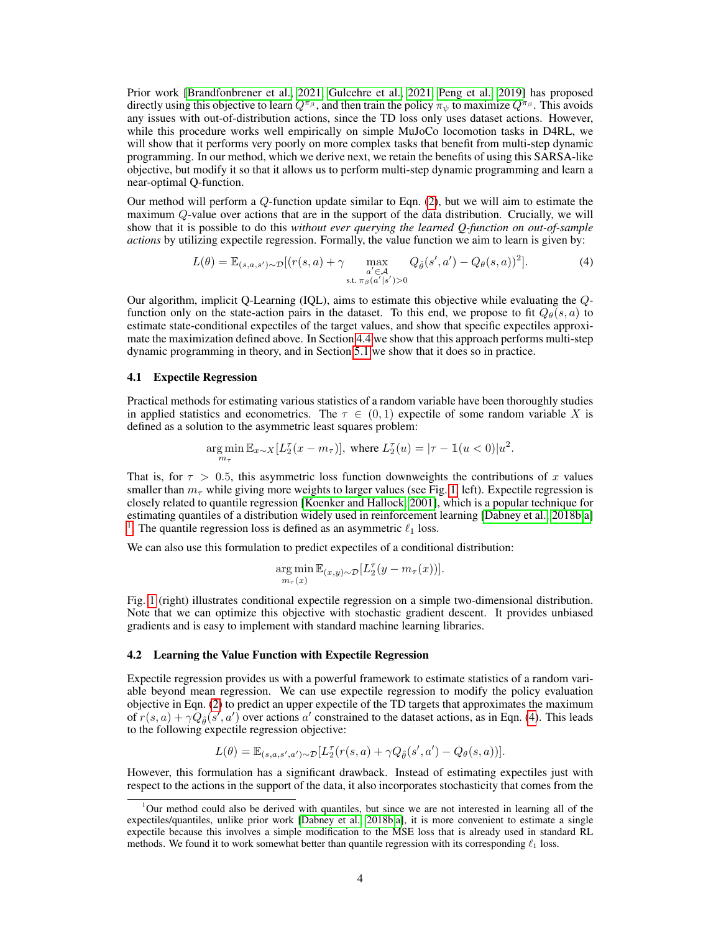Prior work [\[Brandfonbrener et al., 2021,](#page-8-0) [Gulcehre et al., 2021,](#page-9-9) [Peng et al., 2019\]](#page-10-3) has proposed directly using this objective to learn  $Q^{\pi_{\beta}}$ , and then train the policy  $\pi_{\psi}$  to maximize  $Q^{\pi_{\beta}}$ . This avoids any issues with out-of-distribution actions, since the TD loss only uses dataset actions. However, while this procedure works well empirically on simple MuJoCo locomotion tasks in D4RL, we will show that it performs very poorly on more complex tasks that benefit from multi-step dynamic programming. In our method, which we derive next, we retain the benefits of using this SARSA-like objective, but modify it so that it allows us to perform multi-step dynamic programming and learn a near-optimal Q-function.

Our method will perform a  $Q$ -function update similar to Eqn. [\(2\)](#page-2-1), but we will aim to estimate the maximum Q-value over actions that are in the support of the data distribution. Crucially, we will show that it is possible to do this *without ever querying the learned Q-function on out-of-sample actions* by utilizing expectile regression. Formally, the value function we aim to learn is given by:

<span id="page-3-1"></span>
$$
L(\theta) = \mathbb{E}_{(s,a,s') \sim \mathcal{D}}[(r(s,a) + \gamma \max_{\substack{a' \in \mathcal{A} \\ \text{s.t. } \pi_{\beta}(a'|s') > 0}} Q_{\hat{\theta}}(s',a') - Q_{\theta}(s,a))^2].
$$
 (4)

Our algorithm, implicit Q-Learning (IQL), aims to estimate this objective while evaluating the Qfunction only on the state-action pairs in the dataset. To this end, we propose to fit  $Q_{\theta}(s, a)$  to estimate state-conditional expectiles of the target values, and show that specific expectiles approximate the maximization defined above. In Section [4.4](#page-5-0) we show that this approach performs multi-step dynamic programming in theory, and in Section [5.1](#page-6-0) we show that it does so in practice.

#### 4.1 Expectile Regression

Practical methods for estimating various statistics of a random variable have been thoroughly studies in applied statistics and econometrics. The  $\tau \in (0,1)$  expectile of some random variable X is defined as a solution to the asymmetric least squares problem:

$$
\underset{m_{\tau}}{\arg\min}\mathbb{E}_{x \sim X}[L_2^{\tau}(x - m_{\tau})], \text{ where } L_2^{\tau}(u) = |\tau - \mathbb{1}(u < 0)|u^2.
$$

That is, for  $\tau > 0.5$ , this asymmetric loss function downweights the contributions of x values smaller than  $m<sub>\tau</sub>$  while giving more weights to larger values (see Fig. [1,](#page-4-0) left). Expectile regression is closely related to quantile regression [\[Koenker and Hallock, 2001\]](#page-9-11), which is a popular technique for estimating quantiles of a distribution widely used in reinforcement learning [\[Dabney et al., 2018b](#page-9-12)[,a\]](#page-9-13) <sup>[1](#page-3-0)</sup>. The quantile regression loss is defined as an asymmetric  $\ell_1$  loss.

We can also use this formulation to predict expectiles of a conditional distribution:

$$
\underset{m_{\tau}(x)}{\arg\min} \mathbb{E}_{(x,y)\sim\mathcal{D}}[L_2^{\tau}(y-m_{\tau}(x))].
$$

Fig. [1](#page-4-0) (right) illustrates conditional expectile regression on a simple two-dimensional distribution. Note that we can optimize this objective with stochastic gradient descent. It provides unbiased gradients and is easy to implement with standard machine learning libraries.

#### 4.2 Learning the Value Function with Expectile Regression

Expectile regression provides us with a powerful framework to estimate statistics of a random variable beyond mean regression. We can use expectile regression to modify the policy evaluation objective in Eqn. [\(2\)](#page-2-1) to predict an upper expectile of the TD targets that approximates the maximum of  $r(s, a) + \gamma Q_{\hat{\theta}}(s', a')$  over actions a' constrained to the dataset actions, as in Eqn. [\(4\)](#page-3-1). This leads to the following expectile regression objective:

$$
L(\theta) = \mathbb{E}_{(s,a,s',a') \sim \mathcal{D}}[L_2^{\tau}(r(s,a) + \gamma Q_{\hat{\theta}}(s',a') - Q_{\theta}(s,a))].
$$

However, this formulation has a significant drawback. Instead of estimating expectiles just with respect to the actions in the support of the data, it also incorporates stochasticity that comes from the

<span id="page-3-0"></span><sup>&</sup>lt;sup>1</sup>Our method could also be derived with quantiles, but since we are not interested in learning all of the expectiles/quantiles, unlike prior work [\[Dabney et al., 2018b](#page-9-12)[,a\]](#page-9-13), it is more convenient to estimate a single expectile because this involves a simple modification to the MSE loss that is already used in standard RL methods. We found it to work somewhat better than quantile regression with its corresponding  $\ell_1$  loss.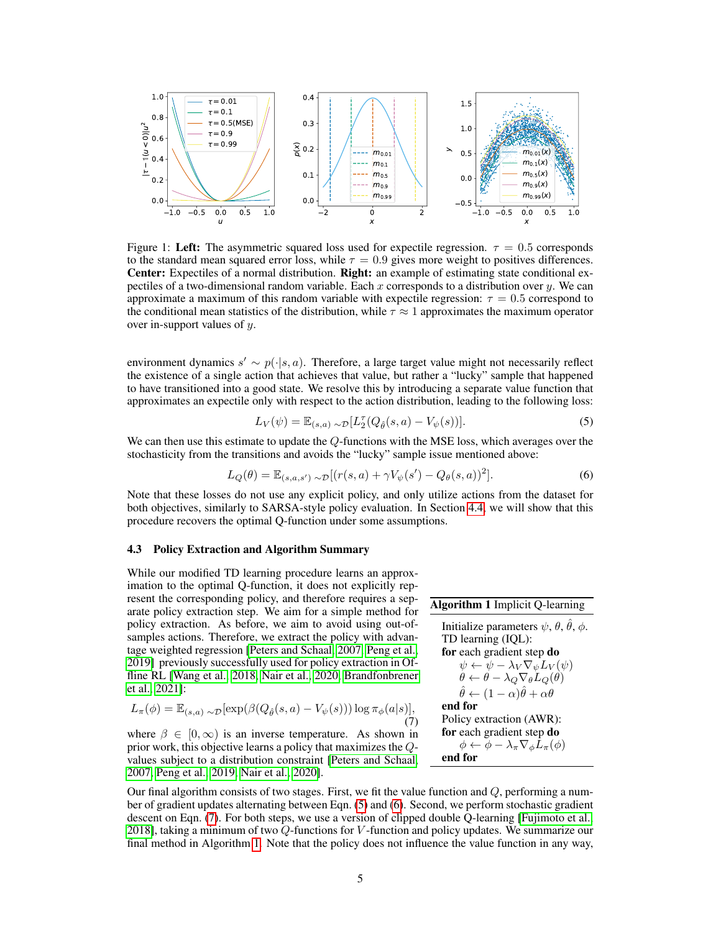<span id="page-4-0"></span>

Figure 1: Left: The asymmetric squared loss used for expectile regression.  $\tau = 0.5$  corresponds to the standard mean squared error loss, while  $\tau = 0.9$  gives more weight to positives differences. Center: Expectiles of a normal distribution. Right: an example of estimating state conditional expectiles of a two-dimensional random variable. Each x corresponds to a distribution over y. We can approximate a maximum of this random variable with expectile regression:  $\tau = 0.5$  correspond to the conditional mean statistics of the distribution, while  $\tau \approx 1$  approximates the maximum operator over in-support values of y.

environment dynamics  $s' \sim p(\cdot|s, a)$ . Therefore, a large target value might not necessarily reflect the existence of a single action that achieves that value, but rather a "lucky" sample that happened to have transitioned into a good state. We resolve this by introducing a separate value function that approximates an expectile only with respect to the action distribution, leading to the following loss:

<span id="page-4-1"></span>
$$
L_V(\psi) = \mathbb{E}_{(s,a)} \sim \mathcal{D}[L_2^{\tau}(Q_{\hat{\theta}}(s,a) - V_{\psi}(s))]. \tag{5}
$$

We can then use this estimate to update the Q-functions with the MSE loss, which averages over the stochasticity from the transitions and avoids the "lucky" sample issue mentioned above:

<span id="page-4-2"></span>
$$
L_Q(\theta) = \mathbb{E}_{(s,a,s')} \sim \mathcal{D}[(r(s,a) + \gamma V_\psi(s') - Q_\theta(s,a))^2].
$$
 (6)

Note that these losses do not use any explicit policy, and only utilize actions from the dataset for both objectives, similarly to SARSA-style policy evaluation. In Section [4.4,](#page-5-1) we will show that this procedure recovers the optimal Q-function under some assumptions.

#### 4.3 Policy Extraction and Algorithm Summary

While our modified TD learning procedure learns an approximation to the optimal Q-function, it does not explicitly represent the corresponding policy, and therefore requires a separate policy extraction step. We aim for a simple method for policy extraction. As before, we aim to avoid using out-ofsamples actions. Therefore, we extract the policy with advantage weighted regression [\[Peters and Schaal, 2007,](#page-10-2) [Peng et al.,](#page-10-3) [2019\]](#page-10-3) previously successfully used for policy extraction in Offline RL [\[Wang et al., 2018,](#page-10-5) [Nair et al., 2020,](#page-9-4) [Brandfonbrener](#page-8-0) [et al., 2021\]](#page-8-0):

<span id="page-4-3"></span>
$$
L_{\pi}(\phi) = \mathbb{E}_{(s,a)} \sim \mathcal{D}[\exp(\beta(Q_{\hat{\theta}}(s,a) - V_{\psi}(s))) \log \pi_{\phi}(a|s)],
$$
\n(7)

where  $\beta \in [0, \infty)$  is an inverse temperature. As shown in prior work, this objective learns a policy that maximizes the Qvalues subject to a distribution constraint [\[Peters and Schaal,](#page-10-2) [2007,](#page-10-2) [Peng et al., 2019,](#page-10-3) [Nair et al., 2020\]](#page-9-4).

<span id="page-4-4"></span>Algorithm 1 Implicit Q-learning Initialize parameters  $\psi$ ,  $\theta$ ,  $\hat{\theta}$ ,  $\phi$ . TD learning (IQL): for each gradient step do  $\psi \leftarrow \psi - \lambda_V \nabla_{\psi} L_V(\psi)$  $\theta \leftarrow \theta - \lambda_Q \nabla_{\theta} L_Q(\theta)$  $\hat{\theta} \leftarrow (1 - \alpha)\hat{\theta} + \alpha\theta$ end for Policy extraction (AWR): for each gradient step do  $\phi \leftarrow \phi - \lambda_{\pi} \nabla_{\phi} L_{\pi}(\phi)$ end for

Our final algorithm consists of two stages. First, we fit the value function and  $Q$ , performing a number of gradient updates alternating between Eqn. [\(5\)](#page-4-1) and [\(6\)](#page-4-2). Second, we perform stochastic gradient descent on Eqn. [\(7\)](#page-4-3). For both steps, we use a version of clipped double Q-learning [\[Fujimoto et al.,](#page-9-15) [2018\]](#page-9-15), taking a minimum of two  $Q$ -functions for V-function and policy updates. We summarize our final method in Algorithm [1.](#page-4-4) Note that the policy does not influence the value function in any way,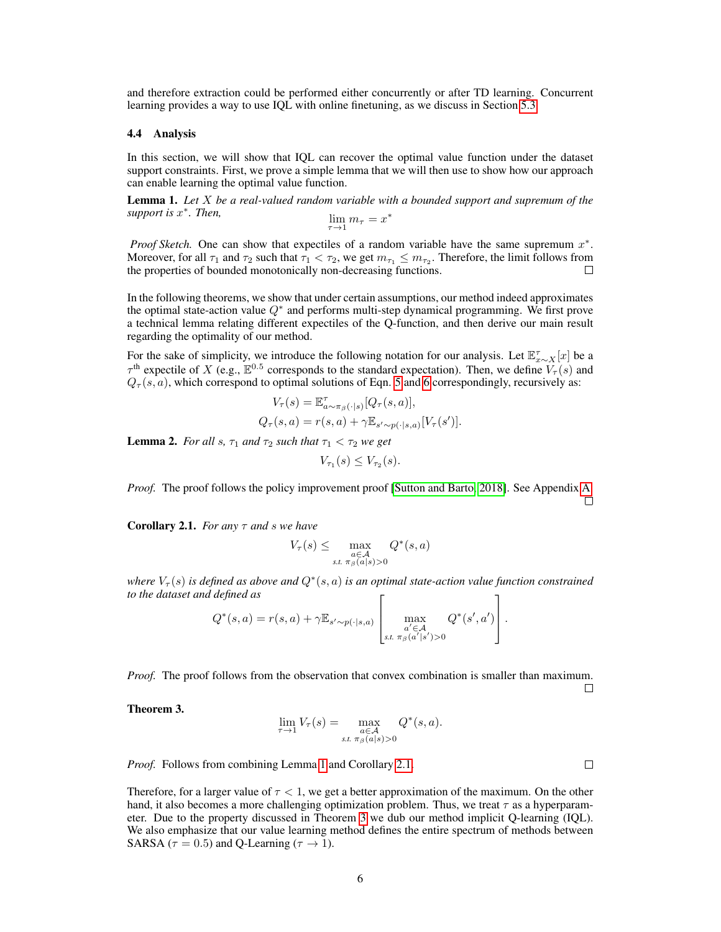and therefore extraction could be performed either concurrently or after TD learning. Concurrent learning provides a way to use IQL with online finetuning, as we discuss in Section [5.3.](#page-8-1)

#### <span id="page-5-1"></span>4.4 Analysis

In this section, we will show that IQL can recover the optimal value function under the dataset support constraints. First, we prove a simple lemma that we will then use to show how our approach can enable learning the optimal value function.

<span id="page-5-2"></span>Lemma 1. *Let* X *be a real-valued random variable with a bounded support and supremum of the support is* x ∗ *. Then,*  $\lim_{\tau \to 1}$ ∗

$$
\lim_{\tau \to 1} m_{\tau} = x^*
$$

*Proof Sketch.* One can show that expectiles of a random variable have the same supremum  $x^*$ . Moreover, for all  $\tau_1$  and  $\tau_2$  such that  $\tau_1 < \tau_2$ , we get  $m_{\tau_1} \le m_{\tau_2}$ . Therefore, the limit follows from the properties of bounded monotonically non-decreasing functions.  $\Box$ 

In the following theorems, we show that under certain assumptions, our method indeed approximates the optimal state-action value  $Q^*$  and performs multi-step dynamical programming. We first prove a technical lemma relating different expectiles of the Q-function, and then derive our main result regarding the optimality of our method.

For the sake of simplicity, we introduce the following notation for our analysis. Let  $\mathbb{E}^{\tau}_{x \sim X}[x]$  be a  $\tau^{\text{th}}$  expectile of X (e.g.,  $\mathbb{E}^{0.5}$  corresponds to the standard expectation). Then, we define  $V_{\tau}(s)$  and  $Q_{\tau}(s, a)$ , which correspond to optimal solutions of Eqn. [5](#page-4-1) and [6](#page-4-2) correspondingly, recursively as:

$$
V_{\tau}(s) = \mathbb{E}^{\tau}_{a \sim \pi_{\beta}(\cdot|s)}[Q_{\tau}(s, a)],
$$
  

$$
Q_{\tau}(s, a) = r(s, a) + \gamma \mathbb{E}_{s' \sim p(\cdot|s, a)}[V_{\tau}(s')].
$$

<span id="page-5-0"></span>**Lemma 2.** *For all s,*  $\tau_1$  *and*  $\tau_2$  *such that*  $\tau_1 < \tau_2$  *we get* 

$$
V_{\tau_1}(s) \leq V_{\tau_2}(s).
$$

*Proof.* The proof follows the policy improvement proof [\[Sutton and Barto, 2018\]](#page-10-6). See Appendix [A.](#page-11-0)  $\Box$ 

<span id="page-5-3"></span>Corollary 2.1. *For any* τ *and* s *we have*

$$
V_{\tau}(s) \leq \max_{\substack{a \in \mathcal{A} \\ s.t. \pi_{\beta}(a|s) > 0}} Q^*(s, a)
$$

where  $V_\tau(s)$  is defined as above and  $Q^*(s, a)$  is an optimal state-action value function constrained *to the dataset and defined as*  $\Gamma$  $\overline{1}$ 

$$
Q^*(s, a) = r(s, a) + \gamma \mathbb{E}_{s' \sim p(\cdot | s, a)} \left[ \max_{\substack{a' \in \mathcal{A} \\ s.t. \pi_\beta(a'|s') > 0}} Q^*(s', a') \right].
$$

*Proof.* The proof follows from the observation that convex combination is smaller than maximum.

□

 $\Box$ 

<span id="page-5-4"></span>Theorem 3.

$$
\lim_{\tau \to 1} V_{\tau}(s) = \max_{\substack{a \in \mathcal{A} \\ s.t. \pi_{\beta}(a|s) > 0}} Q^*(s, a).
$$

*Proof.* Follows from combining Lemma [1](#page-5-2) and Corollary [2.1.](#page-5-3)

Therefore, for a larger value of  $\tau < 1$ , we get a better approximation of the maximum. On the other hand, it also becomes a more challenging optimization problem. Thus, we treat  $\tau$  as a hyperparameter. Due to the property discussed in Theorem [3](#page-5-4) we dub our method implicit Q-learning (IQL). We also emphasize that our value learning method defines the entire spectrum of methods between SARSA ( $\tau = 0.5$ ) and Q-Learning ( $\tau \rightarrow 1$ ).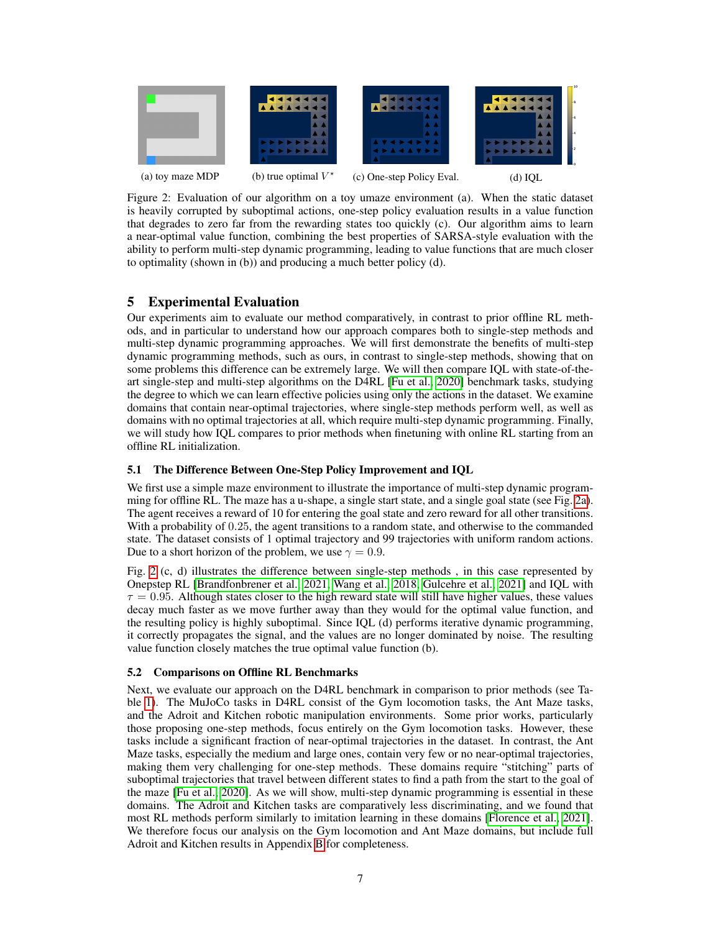<span id="page-6-1"></span>

Figure 2: Evaluation of our algorithm on a toy umaze environment (a). When the static dataset is heavily corrupted by suboptimal actions, one-step policy evaluation results in a value function that degrades to zero far from the rewarding states too quickly (c). Our algorithm aims to learn a near-optimal value function, combining the best properties of SARSA-style evaluation with the ability to perform multi-step dynamic programming, leading to value functions that are much closer to optimality (shown in (b)) and producing a much better policy (d).

# 5 Experimental Evaluation

Our experiments aim to evaluate our method comparatively, in contrast to prior offline RL methods, and in particular to understand how our approach compares both to single-step methods and multi-step dynamic programming approaches. We will first demonstrate the benefits of multi-step dynamic programming methods, such as ours, in contrast to single-step methods, showing that on some problems this difference can be extremely large. We will then compare IQL with state-of-theart single-step and multi-step algorithms on the D4RL [\[Fu et al., 2020\]](#page-9-16) benchmark tasks, studying the degree to which we can learn effective policies using only the actions in the dataset. We examine domains that contain near-optimal trajectories, where single-step methods perform well, as well as domains with no optimal trajectories at all, which require multi-step dynamic programming. Finally, we will study how IQL compares to prior methods when finetuning with online RL starting from an offline RL initialization.

### <span id="page-6-0"></span>5.1 The Difference Between One-Step Policy Improvement and IQL

We first use a simple maze environment to illustrate the importance of multi-step dynamic programming for offline RL. The maze has a u-shape, a single start state, and a single goal state (see Fig. [2a\)](#page-6-1). The agent receives a reward of 10 for entering the goal state and zero reward for all other transitions. With a probability of 0.25, the agent transitions to a random state, and otherwise to the commanded state. The dataset consists of 1 optimal trajectory and 99 trajectories with uniform random actions. Due to a short horizon of the problem, we use  $\gamma = 0.9$ .

Fig. [2](#page-6-1) (c, d) illustrates the difference between single-step methods , in this case represented by Onepstep RL [\[Brandfonbrener et al., 2021,](#page-8-0) [Wang et al., 2018,](#page-10-5) [Gulcehre et al., 2021\]](#page-9-9) and IQL with  $\tau = 0.95$ . Although states closer to the high reward state will still have higher values, these values decay much faster as we move further away than they would for the optimal value function, and the resulting policy is highly suboptimal. Since IQL (d) performs iterative dynamic programming, it correctly propagates the signal, and the values are no longer dominated by noise. The resulting value function closely matches the true optimal value function (b).

#### 5.2 Comparisons on Offline RL Benchmarks

Next, we evaluate our approach on the D4RL benchmark in comparison to prior methods (see Table [1\)](#page-7-0). The MuJoCo tasks in D4RL consist of the Gym locomotion tasks, the Ant Maze tasks, and the Adroit and Kitchen robotic manipulation environments. Some prior works, particularly those proposing one-step methods, focus entirely on the Gym locomotion tasks. However, these tasks include a significant fraction of near-optimal trajectories in the dataset. In contrast, the Ant Maze tasks, especially the medium and large ones, contain very few or no near-optimal trajectories, making them very challenging for one-step methods. These domains require "stitching" parts of suboptimal trajectories that travel between different states to find a path from the start to the goal of the maze [\[Fu et al., 2020\]](#page-9-16). As we will show, multi-step dynamic programming is essential in these domains. The Adroit and Kitchen tasks are comparatively less discriminating, and we found that most RL methods perform similarly to imitation learning in these domains [\[Florence et al., 2021\]](#page-9-17). We therefore focus our analysis on the Gym locomotion and Ant Maze domains, but include full Adroit and Kitchen results in Appendix [B](#page-11-1) for completeness.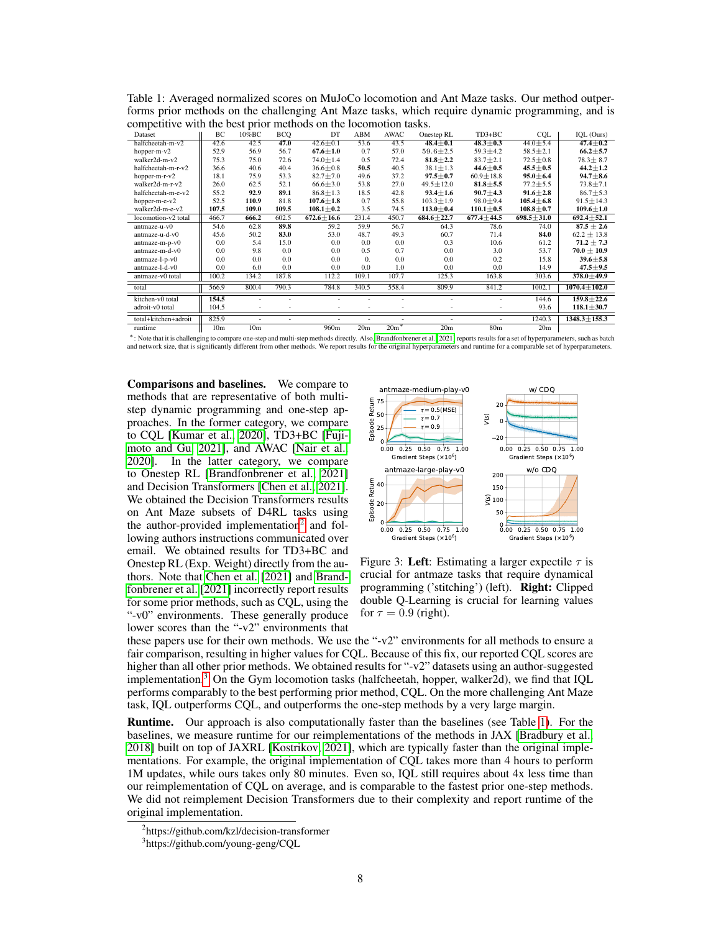| $\cdots$ , $\cdots$  |                 |                 |            |                  |                  |             |                  |                  |                  |                    |
|----------------------|-----------------|-----------------|------------|------------------|------------------|-------------|------------------|------------------|------------------|--------------------|
| Dataset              | BC              | 10%BC           | <b>BCO</b> | DT               | ABM              | <b>AWAC</b> | Onestep RL       | $TD3+BC$         | <b>CQL</b>       | IQL (Ours)         |
| halfcheetah-m-v2     | 42.6            | 42.5            | 47.0       | $42.6 + 0.1$     | 53.6             | 43.5        | $48.4 + 0.1$     | $48.3 + 0.3$     | $44.0 + 5.4$     | $47.4 + 0.2$       |
| hopper-m-v2          | 52.9            | 56.9            | 56.7       | $67.6 \pm 1.0$   | 0.7              | 57.0        | $59.6 \pm 2.5$   | $59.3 \pm 4.2$   | $58.5 \pm 2.1$   | $66.2 \pm 5.7$     |
| walker2d-m-v2        | 75.3            | 75.0            | 72.6       | $74.0 \pm 1.4$   | 0.5              | 72.4        | $81.8 + 2.2$     | $83.7 + 2.1$     | $72.5 + 0.8$     | $78.3 \pm 8.7$     |
| halfcheetah-m-r-v2   | 36.6            | 40.6            | 40.4       | $36.6 + 0.8$     | 50.5             | 40.5        | $38.1 \pm 1.3$   | $44.6 + 0.5$     | $45.5 + 0.5$     | $44.2 \pm 1.2$     |
| hopper-m-r-v2        | 18.1            | 75.9            | 53.3       | $82.7 + 7.0$     | 49.6             | 37.2        | $97.5 + 0.7$     | $60.9 + 18.8$    | $95.0 + 6.4$     | $94.7 \pm 8.6$     |
| walker2d-m-r-v2      | 26.0            | 62.5            | 52.1       | $66.6 + 3.0$     | 53.8             | 27.0        | $49.5 \pm 12.0$  | $81.8 + 5.5$     | $77.2 + 5.5$     | $73.8 + 7.1$       |
| halfcheetah-m-e-v2   | 55.2            | 92.9            | 89.1       | $86.8 \pm 1.3$   | 18.5             | 42.8        | $93.4 \pm 1.6$   | $90.7 + 4.3$     | $91.6 \pm 2.8$   | $86.7 \pm 5.3$     |
| hopper-m-e- $v2$     | 52.5            | 110.9           | 81.8       | $107.6 \pm 1.8$  | 0.7              | 55.8        | $103.3 \pm 1.9$  | $98.0 \pm 9.4$   | $105.4 + 6.8$    | $91.5 + 14.3$      |
| walker2d-m-e-v2      | 107.5           | 109.0           | 109.5      | $108.1 \pm 0.2$  | 3.5              | 74.5        | $113.0 \pm 0.4$  | $110.1 \pm 0.5$  | $108.8 \pm 0.7$  | $109.6 \pm 1.0$    |
| locomotion-v2 total  | 466.7           | 666.2           | 602.5      | $672.6 \pm 16.6$ | 231.4            | 450.7       | $684.6 \pm 22.7$ | $677.4 \pm 44.5$ | $698.5 \pm 31.0$ | $692.4 \pm 52.1$   |
| antmaze-u-v0         | 54.6            | 62.8            | 89.8       | 59.2             | 59.9             | 56.7        | 64.3             | 78.6             | 74.0             | $87.5 \pm 2.6$     |
| antmaze-u-d-v0       | 45.6            | 50.2            | 83.0       | 53.0             | 48.7             | 49.3        | 60.7             | 71.4             | 84.0             | $62.2 \pm 13.8$    |
| antmaze-m-p-v0       | 0.0             | 5.4             | 15.0       | 0.0              | 0.0              | 0.0         | 0.3              | 10.6             | 61.2             | $71.2 + 7.3$       |
| antmaze-m-d-v0       | 0.0             | 9.8             | 0.0        | 0.0              | 0.5              | 0.7         | 0.0              | 3.0              | 53.7             | $70.0 \pm 10.9$    |
| antmaze-l-p-v0       | 0.0             | 0.0             | 0.0        | 0.0              | $\overline{0}$ . | 0.0         | 0.0              | 0.2              | 15.8             | $39.6 \pm 5.8$     |
| antmaze-l-d-v0       | 0.0             | 6.0             | 0.0        | 0.0              | 0.0              | 1.0         | 0.0              | 0.0              | 14.9             | $47.5 \pm 9.5$     |
| antmaze-v0 total     | 100.2           | 134.2           | 187.8      | 112.2            | 109.1            | 107.7       | 125.3            | 163.8            | 303.6            | $378.0 + 49.9$     |
| total                | 566.9           | 800.4           | 790.3      | 784.8            | 340.5            | 558.4       | 809.9            | 841.2            | 1002.1           | $1070.4 \pm 102.0$ |
| kitchen-v0 total     | 154.5           |                 |            |                  |                  |             |                  |                  | 144.6            | $159.8 + 22.6$     |
| adroit-v0 total      | 104.5           |                 |            |                  |                  |             |                  |                  | 93.6             | $118.1 \pm 30.7$   |
| total+kitchen+adroit | 825.9           |                 |            |                  |                  |             |                  |                  | 1240.3           | $1348.3 \pm 155.3$ |
| runtime              | 10 <sub>m</sub> | 10 <sub>m</sub> |            | 960m             | 20 <sub>m</sub>  | $20m^*$     | 20 <sub>m</sub>  | 80 <sub>m</sub>  | 20 <sub>m</sub>  |                    |

<span id="page-7-0"></span>Table 1: Averaged normalized scores on MuJoCo locomotion and Ant Maze tasks. Our method outperforms prior methods on the challenging Ant Maze tasks, which require dynamic programming, and is competitive with the best prior methods on the locomotion tasks.

<sup>∗</sup>: Note that it is challenging to compare one-step and multi-step methods directly. Also[, Brandfonbrener et al. \[2021\]](#page-8-0) reports results for a set of hyperparameters, such as batch and network size, that is significantly different from other methods. We report results for the original hyperparameters and runtime for a comparable set of hyperparameters.

Comparisons and baselines. We compare to methods that are representative of both multistep dynamic programming and one-step approaches. In the former category, we compare to CQL [\[Kumar et al., 2020\]](#page-9-5), TD3+BC [\[Fuji](#page-9-2)[moto and Gu, 2021\]](#page-9-2), and AWAC [\[Nair et al.,](#page-9-4) [2020\]](#page-9-4). In the latter category, we compare to Onestep RL [\[Brandfonbrener et al., 2021\]](#page-8-0) and Decision Transformers [\[Chen et al., 2021\]](#page-9-10). We obtained the Decision Transformers results on Ant Maze subsets of D4RL tasks using the author-provided implementation<sup>[2](#page-7-1)</sup> and following authors instructions communicated over email. We obtained results for TD3+BC and Onestep RL (Exp. Weight) directly from the authors. Note that [Chen et al.](#page-9-10) [\[2021\]](#page-9-10) and [Brand](#page-8-0)[fonbrener et al.](#page-8-0) [\[2021\]](#page-8-0) incorrectly report results for some prior methods, such as CQL, using the "-v0" environments. These generally produce lower scores than the "-v2" environments that

<span id="page-7-3"></span>

Figure 3: Left: Estimating a larger expectile  $\tau$  is crucial for antmaze tasks that require dynamical programming ('stitching') (left). Right: Clipped double Q-Learning is crucial for learning values for  $\tau = 0.9$  (right).

these papers use for their own methods. We use the "-v2" environments for all methods to ensure a fair comparison, resulting in higher values for CQL. Because of this fix, our reported CQL scores are higher than all other prior methods. We obtained results for "-v2" datasets using an author-suggested implementation.[3](#page-7-2) On the Gym locomotion tasks (halfcheetah, hopper, walker2d), we find that IQL performs comparably to the best performing prior method, CQL. On the more challenging Ant Maze task, IQL outperforms CQL, and outperforms the one-step methods by a very large margin.

Runtime. Our approach is also computationally faster than the baselines (see Table [1\)](#page-7-0). For the baselines, we measure runtime for our reimplementations of the methods in JAX [\[Bradbury et al.,](#page-8-2) [2018\]](#page-8-2) built on top of JAXRL [\[Kostrikov, 2021\]](#page-9-18), which are typically faster than the original implementations. For example, the original implementation of CQL takes more than 4 hours to perform 1M updates, while ours takes only 80 minutes. Even so, IQL still requires about 4x less time than our reimplementation of CQL on average, and is comparable to the fastest prior one-step methods. We did not reimplement Decision Transformers due to their complexity and report runtime of the original implementation.

<span id="page-7-1"></span><sup>2</sup> https://github.com/kzl/decision-transformer

<span id="page-7-2"></span><sup>3</sup> https://github.com/young-geng/CQL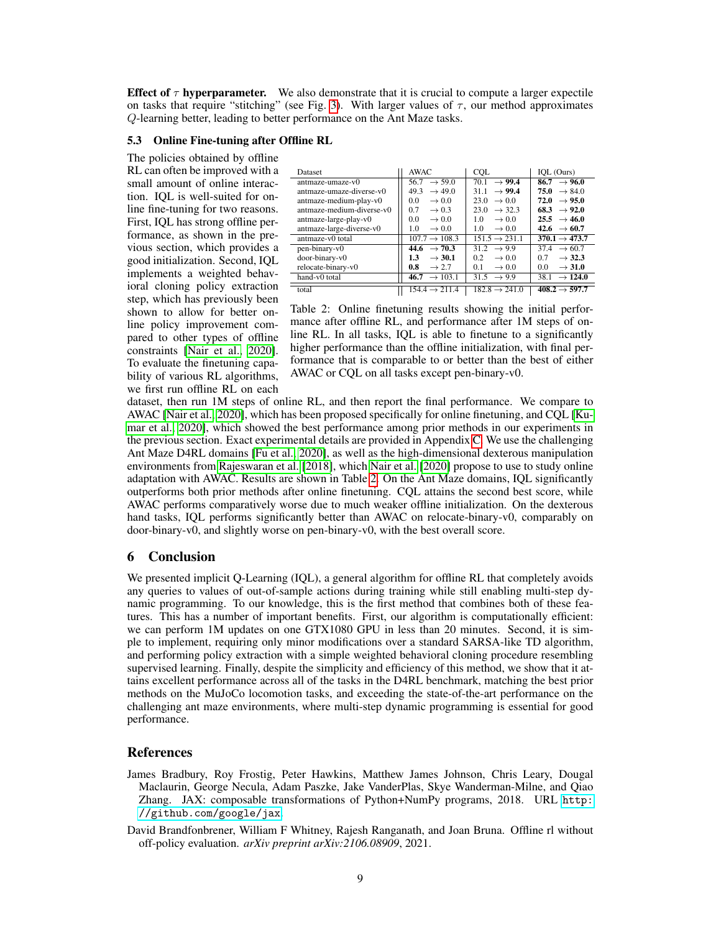**Effect of**  $\tau$  **hyperparameter.** We also demonstrate that it is crucial to compute a larger expectile on tasks that require "stitching" (see Fig. [3\)](#page-7-3). With larger values of  $\tau$ , our method approximates Q-learning better, leading to better performance on the Ant Maze tasks.

## <span id="page-8-1"></span>5.3 Online Fine-tuning after Offline RL

The policies obtained by offline RL can often be improved with a small amount of online interaction. IQL is well-suited for online fine-tuning for two reasons. First, IQL has strong offline performance, as shown in the previous section, which provides a good initialization. Second, IQL implements a weighted behavioral cloning policy extraction step, which has previously been shown to allow for better online policy improvement compared to other types of offline constraints [\[Nair et al., 2020\]](#page-9-4). To evaluate the finetuning capability of various RL algorithms, we first run offline RL on each

<span id="page-8-3"></span>

| Dataset                   | AWAC                        | <b>COL</b>                 | IOL (Ours)                  |
|---------------------------|-----------------------------|----------------------------|-----------------------------|
| antmaze-umaze-y0          | $\rightarrow$ 59.0<br>56.7  | $\rightarrow$ 99.4<br>70.1 | $86.7 \rightarrow 96.0$     |
| antmaze-umaze-diverse-y0  | 49.3<br>$\rightarrow$ 49.0  | $\rightarrow$ 99.4<br>31.1 | 75.0<br>$\rightarrow$ 84.0  |
| antmaze-medium-play-v0    | $\rightarrow 0.0$<br>0.0    | 23.0<br>$\rightarrow 0.0$  | 72.0<br>$\rightarrow$ 95.0  |
| antmaze-medium-diverse-v0 | 0.7<br>$\rightarrow 0.3$    | 23.0<br>$\rightarrow$ 32.3 | $68.3 \rightarrow 92.0$     |
| antmaze-large-play-v0     | $\rightarrow 0.0$<br>0.0    | $\rightarrow 0.0$<br>1.0   | $25.5 \rightarrow 46.0$     |
| antmaze-large-diverse-v0  | 1.0<br>$\rightarrow 0.0$    | 1.0<br>$\rightarrow 0.0$   | 42.6<br>$\rightarrow$ 60.7  |
| antmaze-v0 total          | $107.7 \rightarrow 108.3$   | $151.5 \rightarrow 231.1$  | $370.1 \rightarrow 473.7$   |
| pen-binary-y0             | $\rightarrow$ 70.3<br>44.6  | $31.2 \rightarrow 9.9$     | $\rightarrow$ 60.7<br>374   |
| door-binary-v0            | 1.3<br>$\rightarrow$ 30.1   | 0.2<br>$\rightarrow 0.0$   | $\rightarrow$ 32.3<br>0.7   |
| relocate-binary-v0        | 0.8<br>$\rightarrow$ 2.7    | 0.1<br>$\rightarrow 0.0$   | $\rightarrow$ 31.0<br>0.0   |
| hand-y0 total             | $\rightarrow$ 103.1<br>46.7 | $31.5 \rightarrow 9.9$     | $\rightarrow$ 124.0<br>38.1 |
| total                     | $154.4 \rightarrow 211.4$   | $182.8 \rightarrow 241.0$  | $408.2 \rightarrow 597.7$   |

Table 2: Online finetuning results showing the initial performance after offline RL, and performance after 1M steps of online RL. In all tasks, IQL is able to finetune to a significantly higher performance than the offline initialization, with final performance that is comparable to or better than the best of either AWAC or CQL on all tasks except pen-binary-v0.

dataset, then run 1M steps of online RL, and then report the final performance. We compare to AWAC [\[Nair et al., 2020\]](#page-9-4), which has been proposed specifically for online finetuning, and CQL [\[Ku](#page-9-5)[mar et al., 2020\]](#page-9-5), which showed the best performance among prior methods in our experiments in the previous section. Exact experimental details are provided in Appendix [C.](#page-13-0) We use the challenging Ant Maze D4RL domains [\[Fu et al., 2020\]](#page-9-16), as well as the high-dimensional dexterous manipulation environments from [Rajeswaran et al.](#page-10-7) [\[2018\]](#page-10-7), which [Nair et al.](#page-9-4) [\[2020\]](#page-9-4) propose to use to study online adaptation with AWAC. Results are shown in Table [2.](#page-8-3) On the Ant Maze domains, IQL significantly outperforms both prior methods after online finetuning. CQL attains the second best score, while AWAC performs comparatively worse due to much weaker offline initialization. On the dexterous hand tasks, IQL performs significantly better than AWAC on relocate-binary-v0, comparably on door-binary-v0, and slightly worse on pen-binary-v0, with the best overall score.

## 6 Conclusion

We presented implicit Q-Learning (IQL), a general algorithm for offline RL that completely avoids any queries to values of out-of-sample actions during training while still enabling multi-step dynamic programming. To our knowledge, this is the first method that combines both of these features. This has a number of important benefits. First, our algorithm is computationally efficient: we can perform 1M updates on one GTX1080 GPU in less than 20 minutes. Second, it is simple to implement, requiring only minor modifications over a standard SARSA-like TD algorithm, and performing policy extraction with a simple weighted behavioral cloning procedure resembling supervised learning. Finally, despite the simplicity and efficiency of this method, we show that it attains excellent performance across all of the tasks in the D4RL benchmark, matching the best prior methods on the MuJoCo locomotion tasks, and exceeding the state-of-the-art performance on the challenging ant maze environments, where multi-step dynamic programming is essential for good performance.

#### References

- <span id="page-8-2"></span>James Bradbury, Roy Frostig, Peter Hawkins, Matthew James Johnson, Chris Leary, Dougal Maclaurin, George Necula, Adam Paszke, Jake VanderPlas, Skye Wanderman-Milne, and Qiao Zhang. JAX: composable transformations of Python+NumPy programs, 2018. URL [http:](http://github.com/google/jax) [//github.com/google/jax](http://github.com/google/jax).
- <span id="page-8-0"></span>David Brandfonbrener, William F Whitney, Rajesh Ranganath, and Joan Bruna. Offline rl without off-policy evaluation. *arXiv preprint arXiv:2106.08909*, 2021.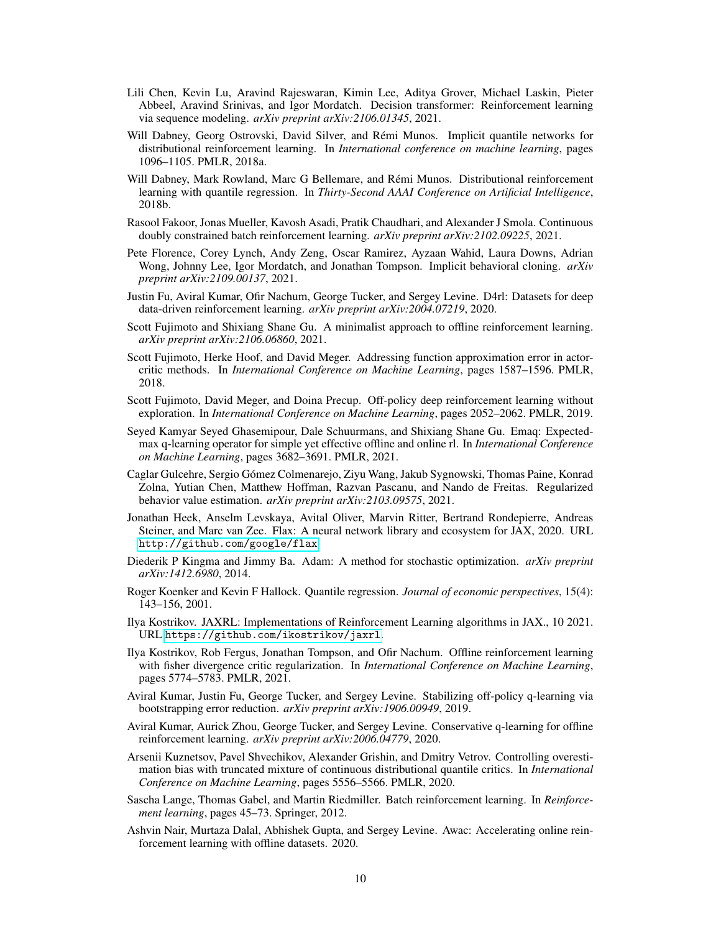- <span id="page-9-10"></span>Lili Chen, Kevin Lu, Aravind Rajeswaran, Kimin Lee, Aditya Grover, Michael Laskin, Pieter Abbeel, Aravind Srinivas, and Igor Mordatch. Decision transformer: Reinforcement learning via sequence modeling. *arXiv preprint arXiv:2106.01345*, 2021.
- <span id="page-9-13"></span>Will Dabney, Georg Ostrovski, David Silver, and Remi Munos. Implicit quantile networks for ´ distributional reinforcement learning. In *International conference on machine learning*, pages 1096–1105. PMLR, 2018a.
- <span id="page-9-12"></span>Will Dabney, Mark Rowland, Marc G Bellemare, and Rémi Munos. Distributional reinforcement learning with quantile regression. In *Thirty-Second AAAI Conference on Artificial Intelligence*, 2018b.
- <span id="page-9-8"></span>Rasool Fakoor, Jonas Mueller, Kavosh Asadi, Pratik Chaudhari, and Alexander J Smola. Continuous doubly constrained batch reinforcement learning. *arXiv preprint arXiv:2102.09225*, 2021.
- <span id="page-9-17"></span>Pete Florence, Corey Lynch, Andy Zeng, Oscar Ramirez, Ayzaan Wahid, Laura Downs, Adrian Wong, Johnny Lee, Igor Mordatch, and Jonathan Tompson. Implicit behavioral cloning. *arXiv preprint arXiv:2109.00137*, 2021.
- <span id="page-9-16"></span>Justin Fu, Aviral Kumar, Ofir Nachum, George Tucker, and Sergey Levine. D4rl: Datasets for deep data-driven reinforcement learning. *arXiv preprint arXiv:2004.07219*, 2020.
- <span id="page-9-2"></span>Scott Fujimoto and Shixiang Shane Gu. A minimalist approach to offline reinforcement learning. *arXiv preprint arXiv:2106.06860*, 2021.
- <span id="page-9-15"></span>Scott Fujimoto, Herke Hoof, and David Meger. Addressing function approximation error in actorcritic methods. In *International Conference on Machine Learning*, pages 1587–1596. PMLR, 2018.
- <span id="page-9-0"></span>Scott Fujimoto, David Meger, and Doina Precup. Off-policy deep reinforcement learning without exploration. In *International Conference on Machine Learning*, pages 2052–2062. PMLR, 2019.
- <span id="page-9-7"></span>Seyed Kamyar Seyed Ghasemipour, Dale Schuurmans, and Shixiang Shane Gu. Emaq: Expectedmax q-learning operator for simple yet effective offline and online rl. In *International Conference on Machine Learning*, pages 3682–3691. PMLR, 2021.
- <span id="page-9-9"></span>Caglar Gulcehre, Sergio Gomez Colmenarejo, Ziyu Wang, Jakub Sygnowski, Thomas Paine, Konrad ´ Zolna, Yutian Chen, Matthew Hoffman, Razvan Pascanu, and Nando de Freitas. Regularized behavior value estimation. *arXiv preprint arXiv:2103.09575*, 2021.
- <span id="page-9-20"></span>Jonathan Heek, Anselm Levskaya, Avital Oliver, Marvin Ritter, Bertrand Rondepierre, Andreas Steiner, and Marc van Zee. Flax: A neural network library and ecosystem for JAX, 2020. URL <http://github.com/google/flax>.
- <span id="page-9-19"></span>Diederik P Kingma and Jimmy Ba. Adam: A method for stochastic optimization. *arXiv preprint arXiv:1412.6980*, 2014.
- <span id="page-9-11"></span>Roger Koenker and Kevin F Hallock. Quantile regression. *Journal of economic perspectives*, 15(4): 143–156, 2001.
- <span id="page-9-18"></span>Ilya Kostrikov. JAXRL: Implementations of Reinforcement Learning algorithms in JAX., 10 2021. URL <https://github.com/ikostrikov/jaxrl>.
- <span id="page-9-6"></span>Ilya Kostrikov, Rob Fergus, Jonathan Tompson, and Ofir Nachum. Offline reinforcement learning with fisher divergence critic regularization. In *International Conference on Machine Learning*, pages 5774–5783. PMLR, 2021.
- <span id="page-9-3"></span>Aviral Kumar, Justin Fu, George Tucker, and Sergey Levine. Stabilizing off-policy q-learning via bootstrapping error reduction. *arXiv preprint arXiv:1906.00949*, 2019.
- <span id="page-9-5"></span>Aviral Kumar, Aurick Zhou, George Tucker, and Sergey Levine. Conservative q-learning for offline reinforcement learning. *arXiv preprint arXiv:2006.04779*, 2020.
- <span id="page-9-14"></span>Arsenii Kuznetsov, Pavel Shvechikov, Alexander Grishin, and Dmitry Vetrov. Controlling overestimation bias with truncated mixture of continuous distributional quantile critics. In *International Conference on Machine Learning*, pages 5556–5566. PMLR, 2020.
- <span id="page-9-1"></span>Sascha Lange, Thomas Gabel, and Martin Riedmiller. Batch reinforcement learning. In *Reinforcement learning*, pages 45–73. Springer, 2012.
- <span id="page-9-4"></span>Ashvin Nair, Murtaza Dalal, Abhishek Gupta, and Sergey Levine. Awac: Accelerating online reinforcement learning with offline datasets. 2020.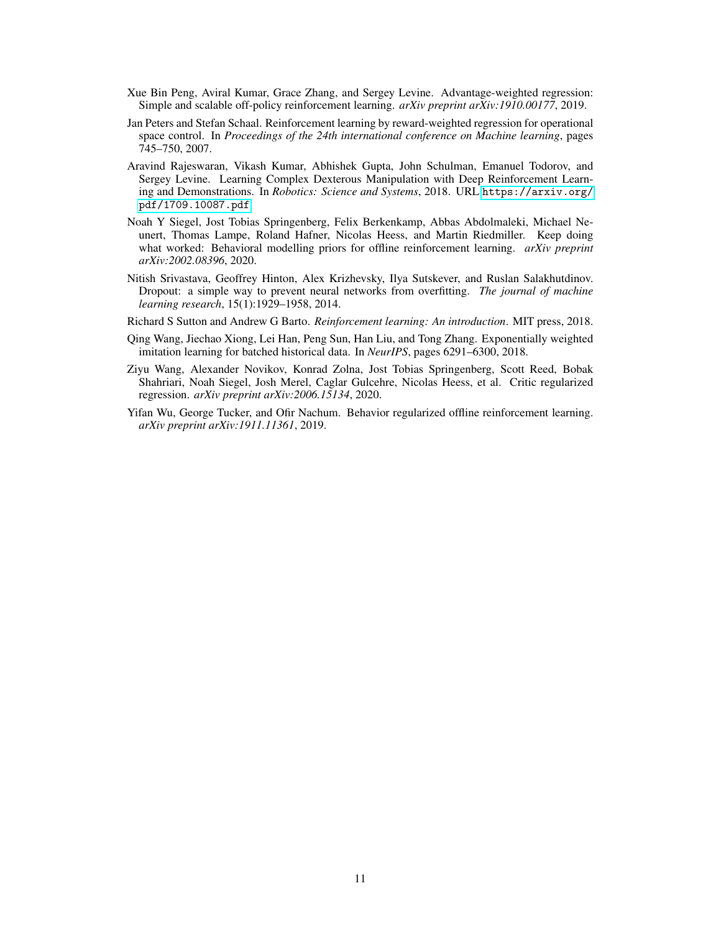- <span id="page-10-3"></span>Xue Bin Peng, Aviral Kumar, Grace Zhang, and Sergey Levine. Advantage-weighted regression: Simple and scalable off-policy reinforcement learning. *arXiv preprint arXiv:1910.00177*, 2019.
- <span id="page-10-2"></span>Jan Peters and Stefan Schaal. Reinforcement learning by reward-weighted regression for operational space control. In *Proceedings of the 24th international conference on Machine learning*, pages 745–750, 2007.
- <span id="page-10-7"></span>Aravind Rajeswaran, Vikash Kumar, Abhishek Gupta, John Schulman, Emanuel Todorov, and Sergey Levine. Learning Complex Dexterous Manipulation with Deep Reinforcement Learning and Demonstrations. In *Robotics: Science and Systems*, 2018. URL [https://arxiv.org/](https://arxiv.org/pdf/1709.10087.pdf) [pdf/1709.10087.pdf](https://arxiv.org/pdf/1709.10087.pdf).
- <span id="page-10-4"></span>Noah Y Siegel, Jost Tobias Springenberg, Felix Berkenkamp, Abbas Abdolmaleki, Michael Neunert, Thomas Lampe, Roland Hafner, Nicolas Heess, and Martin Riedmiller. Keep doing what worked: Behavioral modelling priors for offline reinforcement learning. *arXiv preprint arXiv:2002.08396*, 2020.
- <span id="page-10-8"></span>Nitish Srivastava, Geoffrey Hinton, Alex Krizhevsky, Ilya Sutskever, and Ruslan Salakhutdinov. Dropout: a simple way to prevent neural networks from overfitting. *The journal of machine learning research*, 15(1):1929–1958, 2014.
- <span id="page-10-6"></span>Richard S Sutton and Andrew G Barto. *Reinforcement learning: An introduction*. MIT press, 2018.
- <span id="page-10-5"></span>Qing Wang, Jiechao Xiong, Lei Han, Peng Sun, Han Liu, and Tong Zhang. Exponentially weighted imitation learning for batched historical data. In *NeurIPS*, pages 6291–6300, 2018.
- <span id="page-10-1"></span>Ziyu Wang, Alexander Novikov, Konrad Zolna, Jost Tobias Springenberg, Scott Reed, Bobak Shahriari, Noah Siegel, Josh Merel, Caglar Gulcehre, Nicolas Heess, et al. Critic regularized regression. *arXiv preprint arXiv:2006.15134*, 2020.
- <span id="page-10-0"></span>Yifan Wu, George Tucker, and Ofir Nachum. Behavior regularized offline reinforcement learning. *arXiv preprint arXiv:1911.11361*, 2019.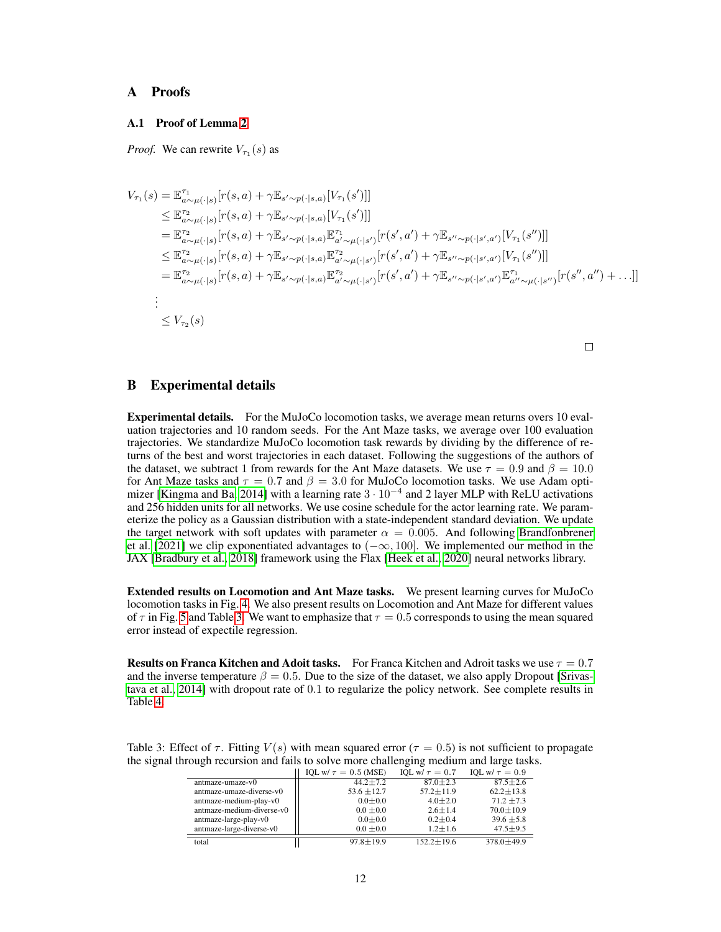# <span id="page-11-0"></span>A Proofs

## A.1 Proof of Lemma [2](#page-5-0)

*Proof.* We can rewrite  $V_{\tau_1}(s)$  as

$$
V_{\tau_{1}}(s) = \mathbb{E}_{a \sim \mu(\cdot|s)}^{\tau_{1}}[r(s,a) + \gamma \mathbb{E}_{s' \sim p(\cdot|s,a)}[V_{\tau_{1}}(s')]]
$$
  
\n
$$
\leq \mathbb{E}_{a \sim \mu(\cdot|s)}^{\tau_{2}}[r(s,a) + \gamma \mathbb{E}_{s' \sim p(\cdot|s,a)}[V_{\tau_{1}}(s')]]
$$
  
\n
$$
= \mathbb{E}_{a \sim \mu(\cdot|s)}^{\tau_{2}}[r(s,a) + \gamma \mathbb{E}_{s' \sim p(\cdot|s,a)}\mathbb{E}_{a' \sim \mu(\cdot|s')}^{\tau_{1}}[r(s',a') + \gamma \mathbb{E}_{s'' \sim p(\cdot|s',a')}[V_{\tau_{1}}(s'')]]]
$$
  
\n
$$
\leq \mathbb{E}_{a \sim \mu(\cdot|s)}^{\tau_{2}}[r(s,a) + \gamma \mathbb{E}_{s' \sim p(\cdot|s,a)}\mathbb{E}_{a' \sim \mu(\cdot|s')}^{\tau_{2}}[r(s',a') + \gamma \mathbb{E}_{s'' \sim p(\cdot|s',a')}[V_{\tau_{1}}(s'')]]]
$$
  
\n
$$
= \mathbb{E}_{a \sim \mu(\cdot|s)}^{\tau_{2}}[r(s,a) + \gamma \mathbb{E}_{s' \sim p(\cdot|s,a)}\mathbb{E}_{a' \sim \mu(\cdot|s')}^{\tau_{2}}[r(s',a') + \gamma \mathbb{E}_{s'' \sim p(\cdot|s',a')}\mathbb{E}_{a'' \sim \mu(\cdot|s'')}^{\tau_{1}}[r(s'',a'') + \ldots]]
$$
  
\n
$$
\vdots
$$
  
\n
$$
\leq V_{\tau_{2}}(s)
$$

 $\Box$ 

## <span id="page-11-1"></span>B Experimental details

Experimental details. For the MuJoCo locomotion tasks, we average mean returns overs 10 evaluation trajectories and 10 random seeds. For the Ant Maze tasks, we average over 100 evaluation trajectories. We standardize MuJoCo locomotion task rewards by dividing by the difference of returns of the best and worst trajectories in each dataset. Following the suggestions of the authors of the dataset, we subtract 1 from rewards for the Ant Maze datasets. We use  $\tau = 0.9$  and  $\beta = 10.0$ for Ant Maze tasks and  $\tau = 0.7$  and  $\beta = 3.0$  for MuJoCo locomotion tasks. We use Adam opti-mizer [\[Kingma and Ba, 2014\]](#page-9-19) with a learning rate  $3 \cdot 10^{-4}$  and 2 layer MLP with ReLU activations and 256 hidden units for all networks. We use cosine schedule for the actor learning rate. We parameterize the policy as a Gaussian distribution with a state-independent standard deviation. We update the target network with soft updates with parameter  $\alpha = 0.005$ . And following [Brandfonbrener](#page-8-0) [et al.](#page-8-0) [\[2021\]](#page-8-0) we clip exponentiated advantages to  $(-\infty, 100]$ . We implemented our method in the JAX [\[Bradbury et al., 2018\]](#page-8-2) framework using the Flax [\[Heek et al., 2020\]](#page-9-20) neural networks library.

Extended results on Locomotion and Ant Maze tasks. We present learning curves for MuJoCo locomotion tasks in Fig. [4.](#page-12-0) We also present results on Locomotion and Ant Maze for different values of  $\tau$  in Fig. [5](#page-12-1) and Table [3.](#page-11-2) We want to emphasize that  $\tau = 0.5$  corresponds to using the mean squared error instead of expectile regression.

**Results on Franca Kitchen and Adoit tasks.** For Franca Kitchen and Adroit tasks we use  $\tau = 0.7$ and the inverse temperature  $\beta = 0.5$ . Due to the size of the dataset, we also apply Dropout [\[Srivas](#page-10-8)[tava et al., 2014\]](#page-10-8) with dropout rate of 0.1 to regularize the policy network. See complete results in Table [4.](#page-13-1)

<span id="page-11-2"></span>Table 3: Effect of  $\tau$ . Fitting  $V(s)$  with mean squared error ( $\tau = 0.5$ ) is not sufficient to propagate the signal through recursion and fails to solve more challenging medium and large tasks.

|                           | IQL w/ $\tau = 0.5$ (MSE) | IQL w/ $\tau = 0.7$ | IOL w/ $\tau = 0.9$ |
|---------------------------|---------------------------|---------------------|---------------------|
| antmaze-umaze-v0          | $44.2 \pm 7.2$            | $87.0 \pm 2.3$      | $87.5 \pm 2.6$      |
| antmaze-umaze-diverse-v0  | $53.6 \pm 12.7$           | $57.2 + 11.9$       | $62.2 \pm 13.8$     |
| antmaze-medium-play-v0    | $0.0 + 0.0$               | $4.0 \pm 2.0$       | $71.2 \pm 7.3$      |
| antmaze-medium-diverse-v0 | $0.0 \pm 0.0$             | $2.6 \pm 1.4$       | $70.0 + 10.9$       |
| antmaze-large-play-v0     | $0.0 + 0.0$               | $0.2 + 0.4$         | $39.6 \pm 5.8$      |
| antmaze-large-diverse-v0  | $0.0 \pm 0.0$             | $1.2 \pm 1.6$       | $47.5 \pm 9.5$      |
| total                     | $97.8 \pm 19.9$           | $152.2 \pm 19.6$    | $378.0 \pm 49.9$    |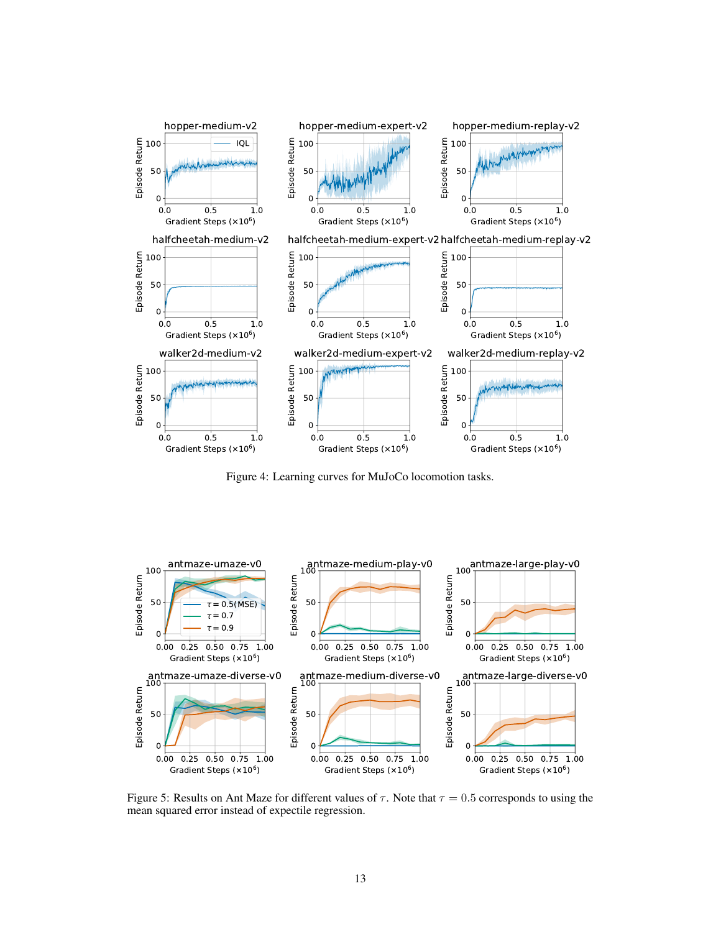<span id="page-12-0"></span>

Figure 4: Learning curves for MuJoCo locomotion tasks.

<span id="page-12-1"></span>

Figure 5: Results on Ant Maze for different values of  $\tau$ . Note that  $\tau = 0.5$  corresponds to using the mean squared error instead of expectile regression.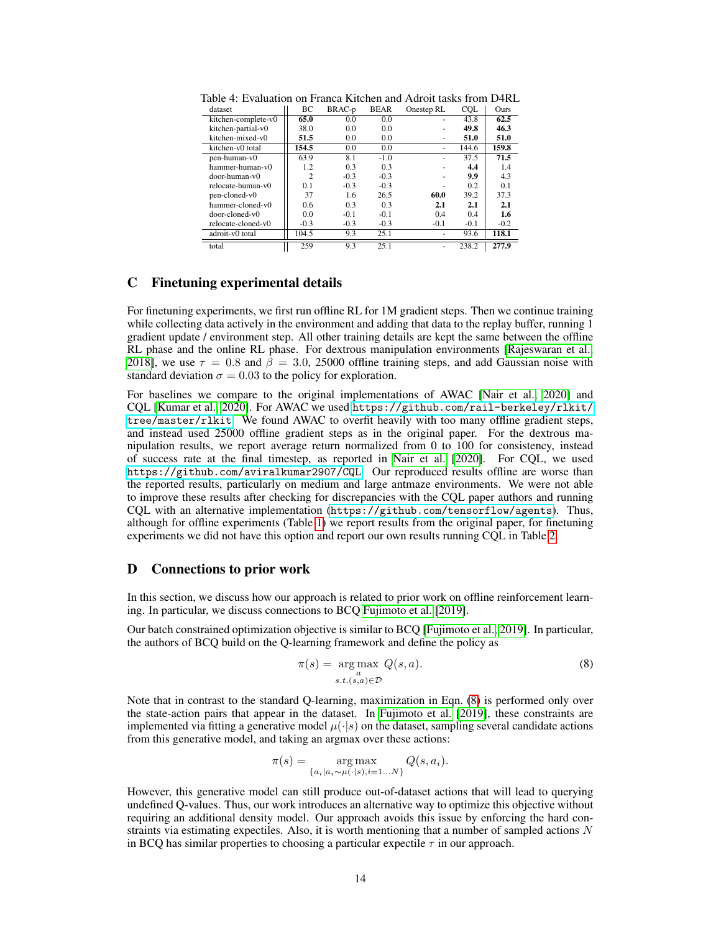| dataset              | BC             | BRAC-p | <b>BEAR</b> | Onestep RL | CQL    | Ours   |
|----------------------|----------------|--------|-------------|------------|--------|--------|
| kitchen-complete-v0  | 65.0           | 0.0    | 0.0         |            | 43.8   | 62.5   |
| kitchen-partial-v0   | 38.0           | 0.0    | 0.0         |            | 49.8   | 46.3   |
| kitchen-mixed-v0     | 51.5           | 0.0    | 0.0         | ۰          | 51.0   | 51.0   |
| kitchen-v0 total     | 154.5          | 0.0    | 0.0         |            | 144.6  | 159.8  |
| pen-human-v0         | 63.9           | 8.1    | $-1.0$      |            | 37.5   | 71.5   |
| hammer-human-v0      | 1.2            | 0.3    | 0.3         |            | 4.4    | 1.4    |
| door-human-v0        | $\overline{c}$ | $-0.3$ | $-0.3$      |            | 9.9    | 4.3    |
| relocate-human-y0    | 0.1            | $-0.3$ | $-0.3$      |            | 0.2    | 0.1    |
| pen-cloned-v0        | 37             | 1.6    | 26.5        | 60.0       | 39.2   | 37.3   |
| hammer-cloned-v0     | 0.6            | 0.3    | 0.3         | 2.1        | 2.1    | 2.1    |
| $door$ -cloned- $v0$ | 0.0            | $-0.1$ | $-0.1$      | 0.4        | 0.4    | 1.6    |
| relocate-cloned-v0   | $-0.3$         | $-0.3$ | $-0.3$      | $-0.1$     | $-0.1$ | $-0.2$ |
| adroit-v0 total      | 104.5          | 9.3    | 25.1        |            | 93.6   | 118.1  |
| total                | 259            | 9.3    | 25.1        |            | 238.2  | 277.9  |

<span id="page-13-1"></span>Table 4: Evaluation on Franca Kitchen and Adroit tasks from D4RL

### <span id="page-13-0"></span>C Finetuning experimental details

For finetuning experiments, we first run offline RL for 1M gradient steps. Then we continue training while collecting data actively in the environment and adding that data to the replay buffer, running 1 gradient update / environment step. All other training details are kept the same between the offline RL phase and the online RL phase. For dextrous manipulation environments [\[Rajeswaran et al.,](#page-10-7) [2018\]](#page-10-7), we use  $\tau = 0.8$  and  $\beta = 3.0$ , 25000 offline training steps, and add Gaussian noise with standard deviation  $\sigma = 0.03$  to the policy for exploration.

For baselines we compare to the original implementations of AWAC [\[Nair et al., 2020\]](#page-9-4) and CQL [\[Kumar et al., 2020\]](#page-9-5). For AWAC we used [https://github.com/rail-berkeley/rlkit/](https://github.com/rail-berkeley/rlkit/tree/master/rlkit) [tree/master/rlkit](https://github.com/rail-berkeley/rlkit/tree/master/rlkit). We found AWAC to overfit heavily with too many offline gradient steps, and instead used 25000 offline gradient steps as in the original paper. For the dextrous manipulation results, we report average return normalized from 0 to 100 for consistency, instead of success rate at the final timestep, as reported in [Nair et al.](#page-9-4) [\[2020\]](#page-9-4). For CQL, we used <https://github.com/aviralkumar2907/CQL>. Our reproduced results offline are worse than the reported results, particularly on medium and large antmaze environments. We were not able to improve these results after checking for discrepancies with the CQL paper authors and running CQL with an alternative implementation (<https://github.com/tensorflow/agents>). Thus, although for offline experiments (Table [1\)](#page-7-0) we report results from the original paper, for finetuning experiments we did not have this option and report our own results running CQL in Table [2.](#page-8-3)

## D Connections to prior work

In this section, we discuss how our approach is related to prior work on offline reinforcement learning. In particular, we discuss connections to BCQ [Fujimoto et al.](#page-9-0) [\[2019\]](#page-9-0).

Our batch constrained optimization objective is similar to BCQ [\[Fujimoto et al., 2019\]](#page-9-0). In particular, the authors of BCQ build on the Q-learning framework and define the policy as

<span id="page-13-2"></span>
$$
\pi(s) = \underset{s.t.(s,a) \in \mathcal{D}}{\arg \max} Q(s,a). \tag{8}
$$

Note that in contrast to the standard Q-learning, maximization in Eqn. [\(8\)](#page-13-2) is performed only over the state-action pairs that appear in the dataset. In [Fujimoto et al.](#page-9-0) [\[2019\]](#page-9-0), these constraints are implemented via fitting a generative model  $\mu(\cdot|s)$  on the dataset, sampling several candidate actions from this generative model, and taking an argmax over these actions:

$$
\pi(s) = \underset{\{a_i \mid a_i \sim \mu(\cdot|s), i=1...N\}}{\arg \max} Q(s, a_i).
$$

However, this generative model can still produce out-of-dataset actions that will lead to querying undefined Q-values. Thus, our work introduces an alternative way to optimize this objective without requiring an additional density model. Our approach avoids this issue by enforcing the hard constraints via estimating expectiles. Also, it is worth mentioning that a number of sampled actions  $N$ in BCQ has similar properties to choosing a particular expectile  $\tau$  in our approach.